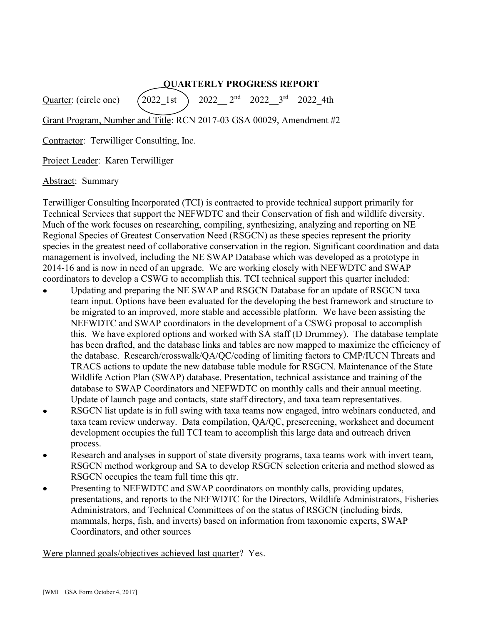## QUARTERLY PROGRESS REPORT

Quarter: (circle one)  $(2022 \text{ 1st})$  2022  $2^{\text{nd}}$  2022  $3^{\text{rd}}$  2022 4th Grant Program, Number and Title: RCN 2017-03 GSA 00029, Amendment #2

Contractor: Terwilliger Consulting, Inc.

Project Leader: Karen Terwilliger

Abstract: Summary

Terwilliger Consulting Incorporated (TCI) is contracted to provide technical support primarily for Technical Services that support the NEFWDTC and their Conservation of fish and wildlife diversity. Much of the work focuses on researching, compiling, synthesizing, analyzing and reporting on NE Regional Species of Greatest Conservation Need (RSGCN) as these species represent the priority species in the greatest need of collaborative conservation in the region. Significant coordination and data management is involved, including the NE SWAP Database which was developed as a prototype in 2014-16 and is now in need of an upgrade. We are working closely with NEFWDTC and SWAP coordinators to develop a CSWG to accomplish this. TCI technical support this quarter included:

- Updating and preparing the NE SWAP and RSGCN Database for an update of RSGCN taxa team input. Options have been evaluated for the developing the best framework and structure to be migrated to an improved, more stable and accessible platform. We have been assisting the NEFWDTC and SWAP coordinators in the development of a CSWG proposal to accomplish this. We have explored options and worked with SA staff (D Drummey). The database template has been drafted, and the database links and tables are now mapped to maximize the efficiency of the database. Research/crosswalk/QA/QC/coding of limiting factors to CMP/IUCN Threats and TRACS actions to update the new database table module for RSGCN. Maintenance of the State Wildlife Action Plan (SWAP) database. Presentation, technical assistance and training of the database to SWAP Coordinators and NEFWDTC on monthly calls and their annual meeting. Update of launch page and contacts, state staff directory, and taxa team representatives.
- RSGCN list update is in full swing with taxa teams now engaged, intro webinars conducted, and taxa team review underway. Data compilation, QA/QC, prescreening, worksheet and document development occupies the full TCI team to accomplish this large data and outreach driven process.
- Research and analyses in support of state diversity programs, taxa teams work with invert team, RSGCN method workgroup and SA to develop RSGCN selection criteria and method slowed as RSGCN occupies the team full time this qtr.
- Presenting to NEFWDTC and SWAP coordinators on monthly calls, providing updates, presentations, and reports to the NEFWDTC for the Directors, Wildlife Administrators, Fisheries Administrators, and Technical Committees of on the status of RSGCN (including birds, mammals, herps, fish, and inverts) based on information from taxonomic experts, SWAP Coordinators, and other sources

Were planned goals/objectives achieved last quarter? Yes.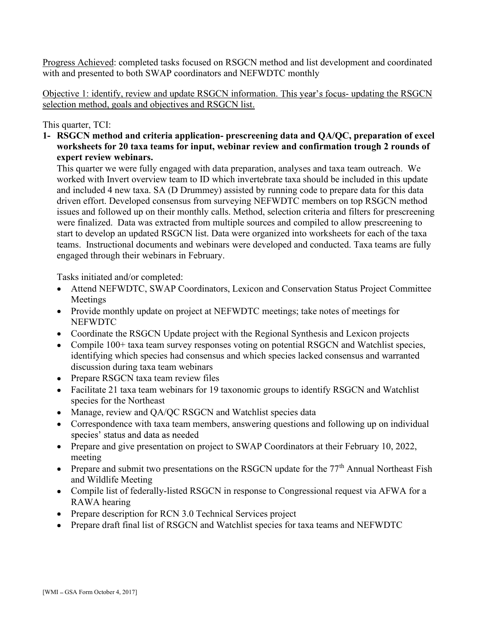Progress Achieved: completed tasks focused on RSGCN method and list development and coordinated with and presented to both SWAP coordinators and NEFWDTC monthly

Objective 1: identify, review and update RSGCN information. This year's focus- updating the RSGCN selection method, goals and objectives and RSGCN list.

This quarter, TCI:

1- RSGCN method and criteria application- prescreening data and QA/QC, preparation of excel worksheets for 20 taxa teams for input, webinar review and confirmation trough 2 rounds of expert review webinars.

This quarter we were fully engaged with data preparation, analyses and taxa team outreach. We worked with Invert overview team to ID which invertebrate taxa should be included in this update and included 4 new taxa. SA (D Drummey) assisted by running code to prepare data for this data driven effort. Developed consensus from surveying NEFWDTC members on top RSGCN method issues and followed up on their monthly calls. Method, selection criteria and filters for prescreening were finalized. Data was extracted from multiple sources and compiled to allow prescreening to start to develop an updated RSGCN list. Data were organized into worksheets for each of the taxa teams. Instructional documents and webinars were developed and conducted. Taxa teams are fully engaged through their webinars in February.

Tasks initiated and/or completed:

- Attend NEFWDTC, SWAP Coordinators, Lexicon and Conservation Status Project Committee Meetings
- Provide monthly update on project at NEFWDTC meetings; take notes of meetings for **NEFWDTC**
- Coordinate the RSGCN Update project with the Regional Synthesis and Lexicon projects
- Compile 100+ taxa team survey responses voting on potential RSGCN and Watchlist species, identifying which species had consensus and which species lacked consensus and warranted discussion during taxa team webinars
- Prepare RSGCN taxa team review files
- Facilitate 21 taxa team webinars for 19 taxonomic groups to identify RSGCN and Watchlist species for the Northeast
- Manage, review and QA/QC RSGCN and Watchlist species data
- Correspondence with taxa team members, answering questions and following up on individual species' status and data as needed
- Prepare and give presentation on project to SWAP Coordinators at their February 10, 2022, meeting
- Prepare and submit two presentations on the RSGCN update for the  $77<sup>th</sup>$  Annual Northeast Fish and Wildlife Meeting
- Compile list of federally-listed RSGCN in response to Congressional request via AFWA for a RAWA hearing
- Prepare description for RCN 3.0 Technical Services project
- Prepare draft final list of RSGCN and Watchlist species for taxa teams and NEFWDTC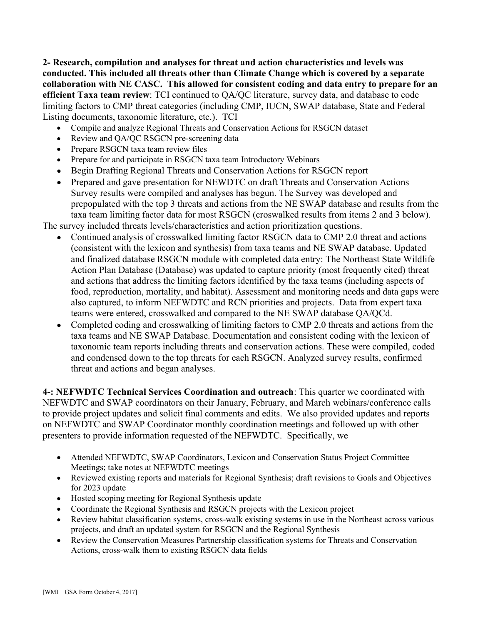2- Research, compilation and analyses for threat and action characteristics and levels was conducted. This included all threats other than Climate Change which is covered by a separate collaboration with NE CASC. This allowed for consistent coding and data entry to prepare for an efficient Taxa team review: TCI continued to QA/QC literature, survey data, and database to code limiting factors to CMP threat categories (including CMP, IUCN, SWAP database, State and Federal Listing documents, taxonomic literature, etc.). TCI

- Compile and analyze Regional Threats and Conservation Actions for RSGCN dataset
- Review and QA/QC RSGCN pre-screening data  $\bullet$
- Prepare RSGCN taxa team review files
- Prepare for and participate in RSGCN taxa team Introductory Webinars
- Begin Drafting Regional Threats and Conservation Actions for RSGCN report
- Prepared and gave presentation for NEWDTC on draft Threats and Conservation Actions Survey results were compiled and analyses has begun. The Survey was developed and prepopulated with the top 3 threats and actions from the NE SWAP database and results from the taxa team limiting factor data for most RSGCN (croswalked results from items 2 and 3 below).

The survey included threats levels/characteristics and action prioritization questions.

- Continued analysis of crosswalked limiting factor RSGCN data to CMP 2.0 threat and actions (consistent with the lexicon and synthesis) from taxa teams and NE SWAP database. Updated and finalized database RSGCN module with completed data entry: The Northeast State Wildlife Action Plan Database (Database) was updated to capture priority (most frequently cited) threat and actions that address the limiting factors identified by the taxa teams (including aspects of food, reproduction, mortality, and habitat). Assessment and monitoring needs and data gaps were also captured, to inform NEFWDTC and RCN priorities and projects. Data from expert taxa teams were entered, crosswalked and compared to the NE SWAP database QA/QCd.
- Completed coding and crosswalking of limiting factors to CMP 2.0 threats and actions from the taxa teams and NE SWAP Database. Documentation and consistent coding with the lexicon of taxonomic team reports including threats and conservation actions. These were compiled, coded and condensed down to the top threats for each RSGCN. Analyzed survey results, confirmed threat and actions and began analyses.

4-: NEFWDTC Technical Services Coordination and outreach: This quarter we coordinated with NEFWDTC and SWAP coordinators on their January, February, and March webinars/conference calls to provide project updates and solicit final comments and edits. We also provided updates and reports on NEFWDTC and SWAP Coordinator monthly coordination meetings and followed up with other presenters to provide information requested of the NEFWDTC. Specifically, we

- Attended NEFWDTC, SWAP Coordinators, Lexicon and Conservation Status Project Committee Meetings; take notes at NEFWDTC meetings
- Reviewed existing reports and materials for Regional Synthesis; draft revisions to Goals and Objectives for 2023 update
- Hosted scoping meeting for Regional Synthesis update
- Coordinate the Regional Synthesis and RSGCN projects with the Lexicon project
- Review habitat classification systems, cross-walk existing systems in use in the Northeast across various projects, and draft an updated system for RSGCN and the Regional Synthesis
- Review the Conservation Measures Partnership classification systems for Threats and Conservation Actions, cross-walk them to existing RSGCN data fields